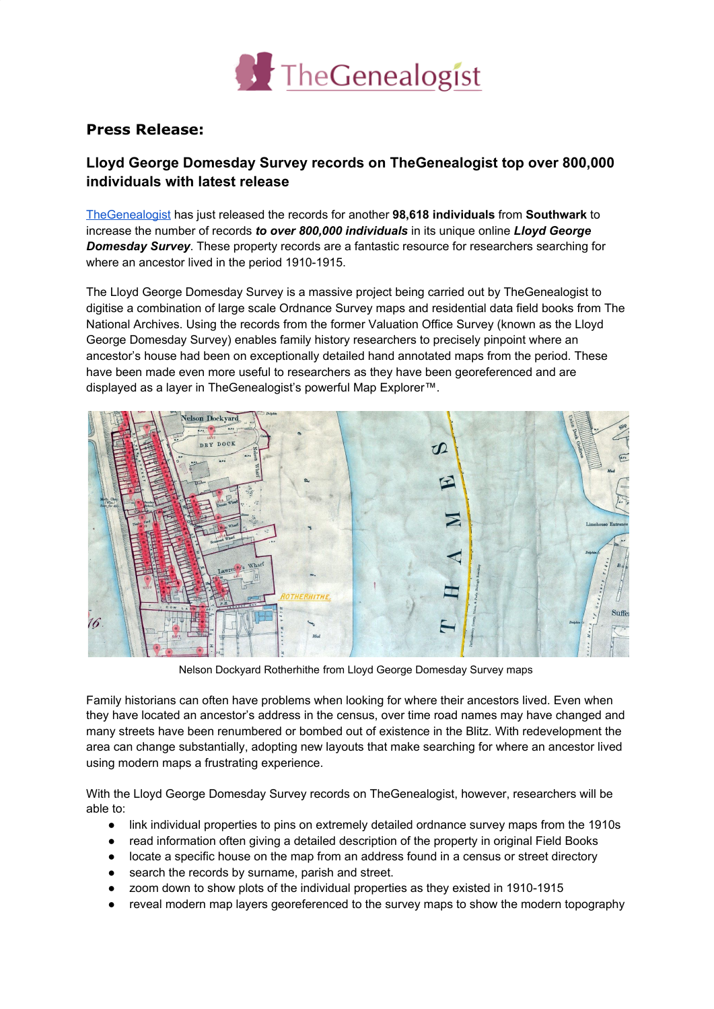

## **Press Release:**

## **Lloyd George Domesday Survey records on TheGenealogist top over 800,000 individuals with latest release**

[TheGenealogist](https://www.thegenealogist.co.uk/) has just released the records for another **98,618 individuals** from **Southwark** to increase the number of records *to over 800,000 individuals* in its unique online *Lloyd George Domesday Survey*. These property records are a fantastic resource for researchers searching for where an ancestor lived in the period 1910-1915.

The Lloyd George Domesday Survey is a massive project being carried out by TheGenealogist to digitise a combination of large scale Ordnance Survey maps and residential data field books from The National Archives. Using the records from the former Valuation Office Survey (known as the Lloyd George Domesday Survey) enables family history researchers to precisely pinpoint where an ancestor's house had been on exceptionally detailed hand annotated maps from the period. These have been made even more useful to researchers as they have been georeferenced and are displayed as a layer in TheGenealogist's powerful Map Explorer™.



Nelson Dockyard Rotherhithe from Lloyd George Domesday Survey maps

Family historians can often have problems when looking for where their ancestors lived. Even when they have located an ancestor's address in the census, over time road names may have changed and many streets have been renumbered or bombed out of existence in the Blitz. With redevelopment the area can change substantially, adopting new layouts that make searching for where an ancestor lived using modern maps a frustrating experience.

With the Lloyd George Domesday Survey records on TheGenealogist, however, researchers will be able to:

- link individual properties to pins on extremely detailed ordnance survey maps from the 1910s
- read information often giving a detailed description of the property in original Field Books
- locate a specific house on the map from an address found in a census or street directory
- search the records by surname, parish and street.
- zoom down to show plots of the individual properties as they existed in 1910-1915
- reveal modern map layers georeferenced to the survey maps to show the modern topography